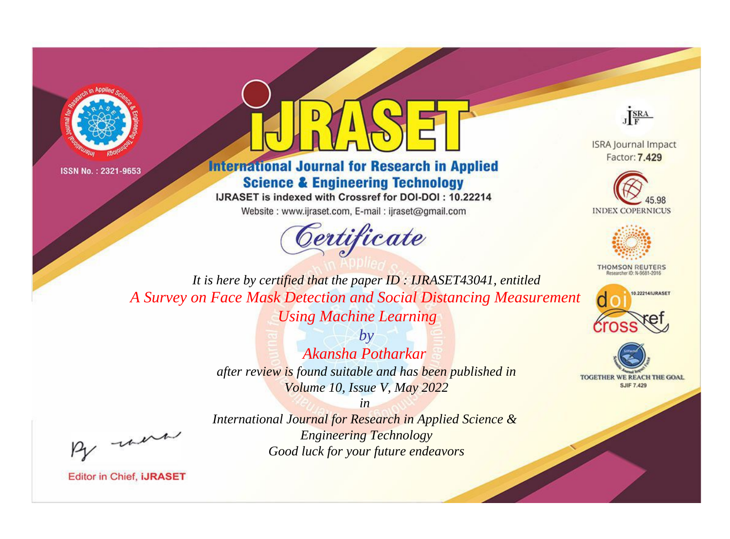



# **International Journal for Research in Applied Science & Engineering Technology**

IJRASET is indexed with Crossref for DOI-DOI: 10.22214

Website: www.ijraset.com, E-mail: ijraset@gmail.com





**ISRA Journal Impact** Factor: 7.429





**THOMSON REUTERS** 



TOGETHER WE REACH THE GOAL **SJIF 7.429** 

*It is here by certified that the paper ID : IJRASET43041, entitled A Survey on Face Mask Detection and Social Distancing Measurement Using Machine Learning*

> *by Akansha Potharkar after review is found suitable and has been published in Volume 10, Issue V, May 2022*

, un

*International Journal for Research in Applied Science & Engineering Technology Good luck for your future endeavors*

*in*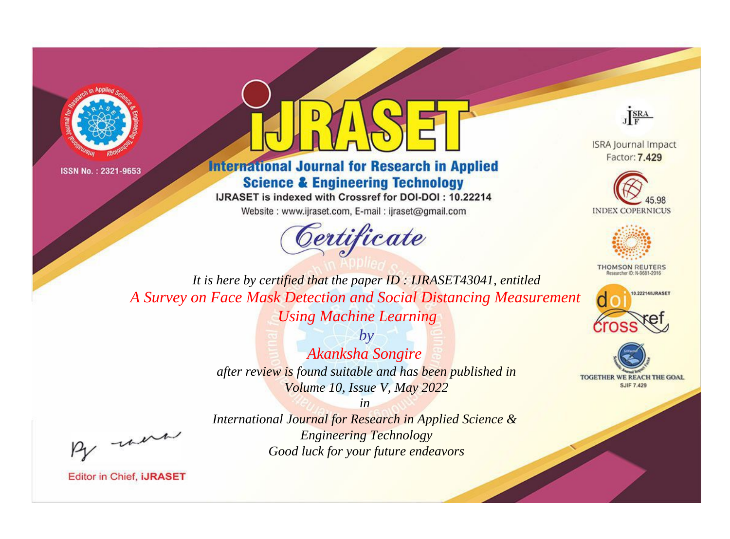



# **International Journal for Research in Applied Science & Engineering Technology**

IJRASET is indexed with Crossref for DOI-DOI: 10.22214

Website: www.ijraset.com, E-mail: ijraset@gmail.com



JERA

**ISRA Journal Impact** Factor: 7.429





**THOMSON REUTERS** 



TOGETHER WE REACH THE GOAL **SJIF 7.429** 

It is here by certified that the paper ID: IJRASET43041, entitled A Survey on Face Mask Detection and Social Distancing Measurement **Using Machine Learning** 

> $b\nu$ Akanksha Songire after review is found suitable and has been published in Volume 10, Issue V, May 2022

were

International Journal for Research in Applied Science & **Engineering Technology** Good luck for your future endeavors

 $in$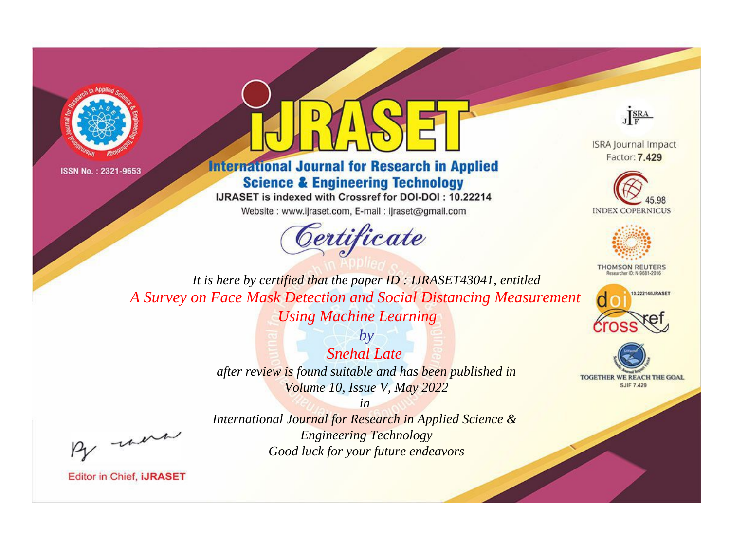



# **International Journal for Research in Applied Science & Engineering Technology**

IJRASET is indexed with Crossref for DOI-DOI: 10.22214

Website: www.ijraset.com, E-mail: ijraset@gmail.com



JERA

**ISRA Journal Impact** Factor: 7.429





**THOMSON REUTERS** 



TOGETHER WE REACH THE GOAL **SJIF 7.429** 

It is here by certified that the paper ID: IJRASET43041, entitled A Survey on Face Mask Detection and Social Distancing Measurement **Using Machine Learning** 

> $b\nu$ Snehal Late after review is found suitable and has been published in Volume 10, Issue V, May 2022

were

International Journal for Research in Applied Science & **Engineering Technology** Good luck for your future endeavors

 $in$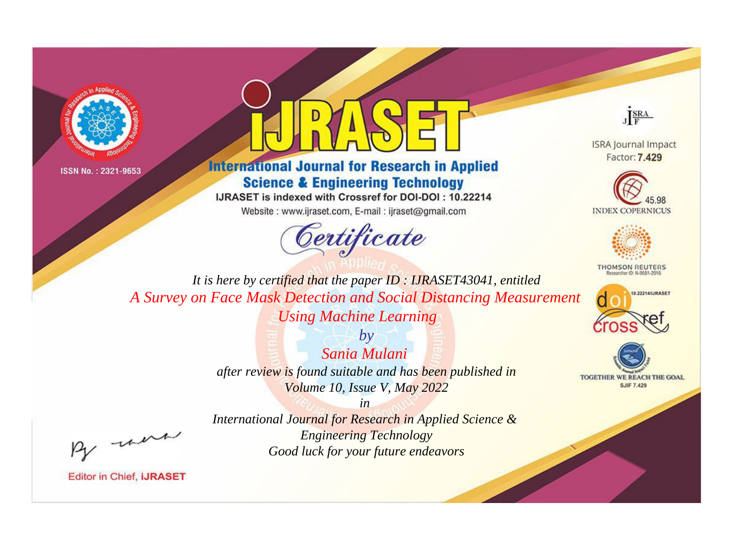



# **International Journal for Research in Applied Science & Engineering Technology**

IJRASET is indexed with Crossref for DOI-DOI: 10.22214

Website: www.ijraset.com, E-mail: ijraset@gmail.com



JERA

**ISRA Journal Impact** Factor: 7.429





**THOMSON REUTERS** 



TOGETHER WE REACH THE GOAL **SJIF 7.429** 

It is here by certified that the paper ID: IJRASET43041, entitled A Survey on Face Mask Detection and Social Distancing Measurement **Using Machine Learning** 

> $b\nu$ Sania Mulani after review is found suitable and has been published in Volume 10, Issue V, May 2022

were

International Journal for Research in Applied Science & **Engineering Technology** Good luck for your future endeavors

 $in$